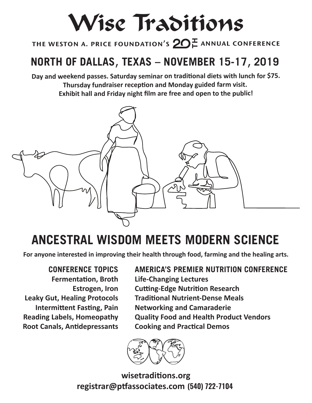## Wise Traditions

 the weston a. price foundation's **TH**annual conference

## **NORTH OF DALLAS**, **TEXAS – NOVEMBER 15-17**, **2019**

**Day and weekend passes. Saturday seminar on traditional diets with lunch for \$75. Thursday fundraiser reception and Monday guided farm visit. Exhibit hall and Friday night film are free and open to the public!**



## **ANCESTRAL WISDOM MEETS MODERN SCIENCE**

**For anyone interested in improving their health through food, farming and the healing arts.**

**CONFERENCE TOPICS Fermentation, Broth Estrogen, Iron Leaky Gut, Healing Protocols Intermittent Fasting, Pain Reading Labels, Homeopathy Root Canals, Antidepressants**

**AMERICA'S PREMIER NUTRITION CONFERENCE Life-Changing Lectures Cutting-Edge Nutrition Research Traditional Nutrient-Dense Meals Networking and Camaraderie Quality Food and Health Product Vendors Cooking and Practical Demos**



**registrar@ptfassociates.com (540) 722-7104 wisetraditions.org**